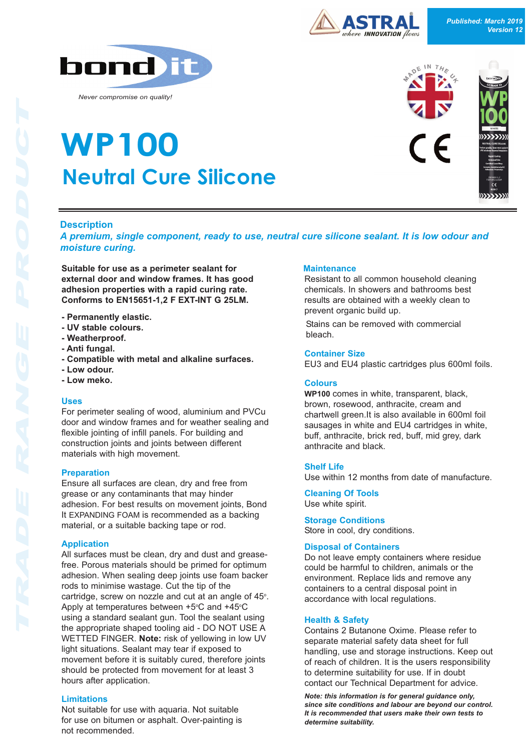

## **Neutral Cure Silicone WP100**



#### **Description**

*A premium, single component, ready to use, neutral cure silicone sealant. It is low odour and moisture curing.* 

**Suitable for use as a perimeter sealant for external door and window frames. It has good adhesion properties with a rapid curing rate.** Conforms to EN15651-1,2 F EXT-INT G 25LM.

- **Permanently elastic.**
- **UV stable colours.**
- **Weatherproof.**
- **Anti fungal.**
- **Compatible with metal and alkaline surfaces.**
- **Low odour.**
- **Low meko.**

#### **Uses**

For perimeter sealing of wood, aluminium and PVCu door and window frames and for weather sealing and flexible jointing of infill panels. For building and construction joints and joints between different materials with high movement.

#### **Preparation**

Ensure all surfaces are clean, dry and free from grease or any contaminants that may hinder adhesion. For best results on movement joints, Bond It EXPANDING FOAM is recommended as a backing material, or a suitable backing tape or rod.

#### **Application**

All surfaces must be clean, dry and dust and greasefree. Porous materials should be primed for optimum adhesion. When sealing deep joints use foam backer rods to minimise wastage. Cut the tip of the cartridge, screw on nozzle and cut at an angle of  $45^{\circ}$ . Apply at temperatures between +5°C and +45°C using a standard sealant gun. Tool the sealant using the appropriate shaped tooling aid - DO NOT USE A WETTED FINGER. **Note:** risk of yellowing in low UV light situations. Sealant may tear if exposed to movement before it is suitably cured, therefore joints should be protected from movement for at least 3 hours after application.

#### **Limitations**

Not suitable for use with aquaria. Not suitable for use on bitumen or asphalt. Over-painting is not recommended.

#### **Maintenance**

Resistant to all common household cleaning chemicals. In showers and bathrooms best results are obtained with a weekly clean to prevent organic build up.

Stains can be removed with commercial bleach.

#### **Container Size**

EU3 and EU4 plastic cartridges plus 600ml foils.

#### **Colours**

**WP100** comes in white, transparent, black, brown, rosewood, anthracite, cream and chartwell green.It is also available in 600ml foil sausages in white and EU4 cartridges in white, buff, anthracite, brick red, buff, mid grey, dark anthracite and black.

#### **Shelf Life**

Use within 12 months from date of manufacture.

**Cleaning Of Tools** Use white spirit.

**Storage Conditions** Store in cool, dry conditions.

#### **Disposal of Containers**

Do not leave empty containers where residue could be harmful to children, animals or the environment. Replace lids and remove any containers to a central disposal point in accordance with local regulations.

#### **Health & Safety**

Contains 2 Butanone Oxime. Please refer to separate material safety data sheet for full handling, use and storage instructions. Keep out of reach of children. It is the users responsibility to determine suitability for use. If in doubt contact our Technical Department for advice.

*Note: this information is for general guidance only, since site conditions and labour are beyond our control. It is recommended that users make their own tests to determine suitability.*